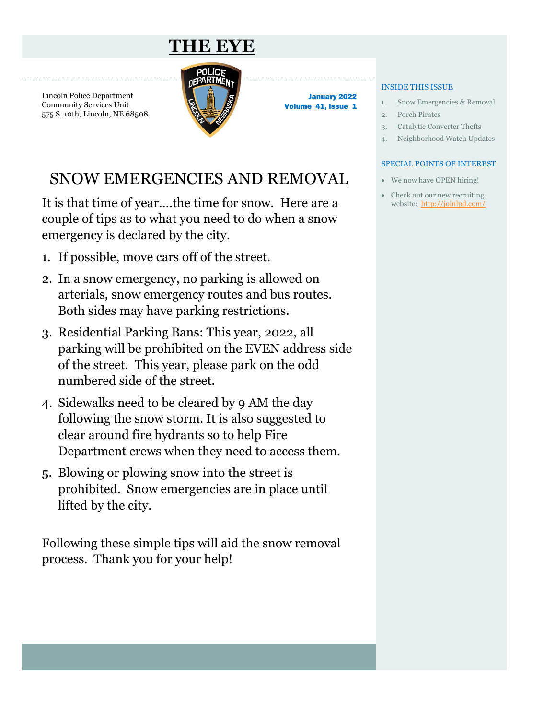## **THE EYE**

<span id="page-0-0"></span>Lincoln Police Department Community Services Unit 575 S. 10th, Lincoln, NE 68508



January 2022 Volume 41, Issue 1

### SNOW EMERGENCIES AND REMOVAL

It is that time of year….the time for snow. Here are a couple of tips as to what you need to do when a snow emergency is declared by the city.

- 1. If possible, move cars off of the street.
- 2. In a snow emergency, no parking is allowed on arterials, snow emergency routes and bus routes. Both sides may have parking restrictions.
- 3. Residential Parking Bans: This year, 2022, all parking will be prohibited on the EVEN address side of the street. This year, please park on the odd numbered side of the street.
- 4. Sidewalks need to be cleared by 9 AM the day following the snow storm. It is also suggested to clear around fire hydrants so to help Fire Department crews when they need to access them.
- 5. Blowing or plowing snow into the street is prohibited. Snow emergencies are in place until lifted by the city.

Following these simple tips will aid the snow removal process. Thank you for your help!

#### INSIDE THIS ISSUE

- 1. Snow Emergencies & Removal
- 2. Porch Pirates
- 3. Catalytic Converter Thefts
- 4. Neighborhood Watch Updates

#### SPECIAL POINTS OF INTEREST

- We now have OPEN hiring!
- Check out our new recruiting website: [http://joinlpd.com/](#page-0-0)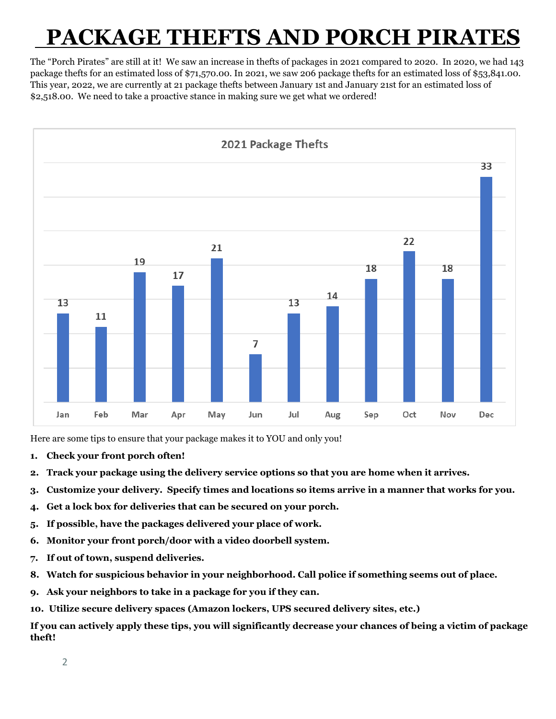## **PACKAGE THEFTS AND PORCH PIRAT**

The "Porch Pirates" are still at it! We saw an increase in thefts of packages in 2021 compared to 2020. In 2020, we had 143 package thefts for an estimated loss of \$71,570.00. In 2021, we saw 206 package thefts for an estimated loss of \$53,841.00. This year, 2022, we are currently at 21 package thefts between January 1st and January 21st for an estimated loss of \$2,518.00. We need to take a proactive stance in making sure we get what we ordered!



Here are some tips to ensure that your package makes it to YOU and only you!

- **1. Check your front porch often!**
- **2. Track your package using the delivery service options so that you are home when it arrives.**
- **3. Customize your delivery. Specify times and locations so items arrive in a manner that works for you.**
- **4. Get a lock box for deliveries that can be secured on your porch.**
- **5. If possible, have the packages delivered your place of work.**
- **6. Monitor your front porch/door with a video doorbell system.**
- **7. If out of town, suspend deliveries.**
- **8. Watch for suspicious behavior in your neighborhood. Call police if something seems out of place.**
- **9. Ask your neighbors to take in a package for you if they can.**
- **10. Utilize secure delivery spaces (Amazon lockers, UPS secured delivery sites, etc.)**

**If you can actively apply these tips, you will significantly decrease your chances of being a victim of package theft!**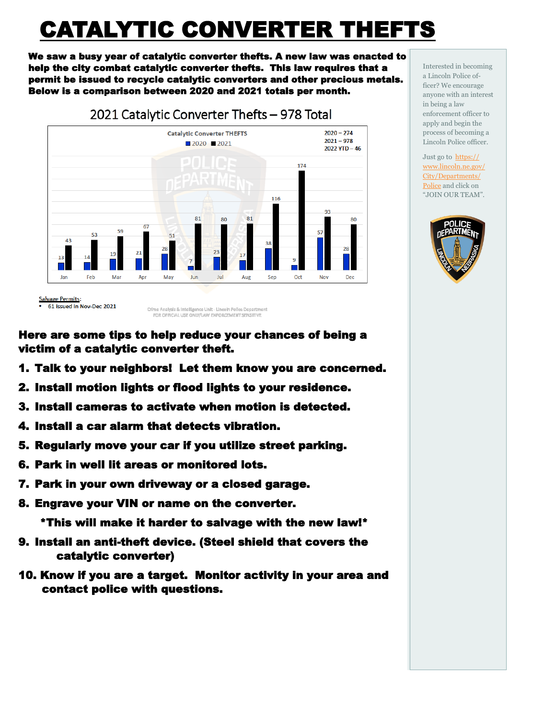# CATALYTIC CONVERTER THEFTS

We saw a busy year of catalytic converter thefts. A new law was enacted to help the city combat catalytic converter thefts. This law requires that a permit be issued to recycle catalytic converters and other precious metals. Below is a comparison between 2020 and 2021 totals per month.



<sup>61</sup> issued in Nov-Dec 2021

Here are some tips to help reduce your chances of being a victim of a catalytic converter theft.

- 1. Talk to your neighbors! Let them know you are concerned.
- 2. Install motion lights or flood lights to your residence.
- 3. Install cameras to activate when motion is detected.
- 4. Install a car alarm that detects vibration.
- 5. Regularly move your car if you utilize street parking.
- 6. Park in well lit areas or monitored lots.
- 7. Park in your own driveway or a closed garage.
- 8. Engrave your VIN or name on the converter.

\*This will make it harder to salvage with the new law!\*

- 9. Install an anti-theft device. (Steel shield that covers the catalytic converter)
- 10. Know if you are a target. Monitor activity in your area and contact police with questions.

Interested in becoming a Lincoln Police officer? We encourage anyone with an interest in being a law enforcement officer to apply and begin the process of becoming a Lincoln Police officer.

Just go to [https://](https://www.lincoln.ne.gov/City/Departments/Police) [www.lincoln.ne.gov/](https://www.lincoln.ne.gov/City/Departments/Police) [City/Departments/](https://www.lincoln.ne.gov/City/Departments/Police) [Police](https://www.lincoln.ne.gov/City/Departments/Police) and click on "JOIN OUR TEAM".



Crime Analysis & Intelligence Unit - Lincoln Police Department FOR OFFICIAL USE ONLY/LAW ENFORCEMENT SENSITIVE